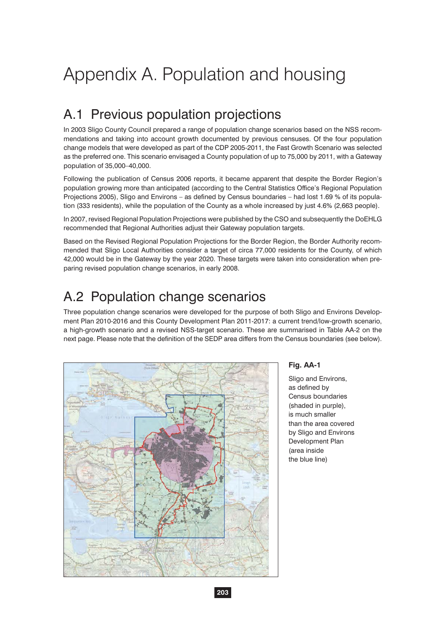# Appendix A. Population and housing

# A.1 Previous population projections

In 2003 Sligo County Council prepared a range of population change scenarios based on the NSS recommendations and taking into account growth documented by previous censuses. Of the four population change models that were developed as part of the CDP 2005-2011, the Fast Growth Scenario was selected as the preferred one. This scenario envisaged a County population of up to 75,000 by 2011, with a Gateway population of 35,000–40,000.

Following the publication of Census 2006 reports, it became apparent that despite the Border Region's population growing more than anticipated (according to the Central Statistics Office's Regional Population Projections 2005), Sligo and Environs – as defined by Census boundaries – had lost 1.69 % of its population (333 residents), while the population of the County as a whole increased by just 4.6% (2,663 people).

In 2007, revised Regional Population Projections were published by the CSO and subsequently the DoEHLG recommended that Regional Authorities adjust their Gateway population targets.

Based on the Revised Regional Population Projections for the Border Region, the Border Authority recommended that Sligo Local Authorities consider a target of circa 77,000 residents for the County, of which 42,000 would be in the Gateway by the year 2020. These targets were taken into consideration when preparing revised population change scenarios, in early 2008.

### A.2 Population change scenarios

Three population change scenarios were developed for the purpose of both Sligo and Environs Development Plan 2010-2016 and this County Development Plan 2011-2017: a current trend/low-growth scenario, a high-growth scenario and a revised NSS-target scenario. These are summarised in Table AA-2 on the next page. Please note that the definition of the SEDP area differs from the Census boundaries (see below).



### **Fig. AA-1**

Sligo and Environs, as defined by Census boundaries (shaded in purple), is much smaller than the area covered by Sligo and Environs Development Plan (area inside the blue line)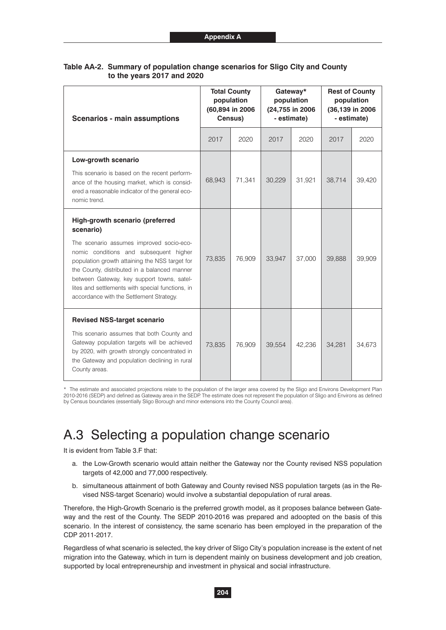| <b>Scenarios - main assumptions</b>                                                                                                                                                                                                                                                                                                                                                | <b>Total County</b><br>population<br>(60,894 in 2006<br>Census) |        | Gateway*<br>population<br>(24,755 in 2006<br>- estimate) |        | <b>Rest of County</b><br>population<br>(36,139 in 2006)<br>- estimate) |        |
|------------------------------------------------------------------------------------------------------------------------------------------------------------------------------------------------------------------------------------------------------------------------------------------------------------------------------------------------------------------------------------|-----------------------------------------------------------------|--------|----------------------------------------------------------|--------|------------------------------------------------------------------------|--------|
|                                                                                                                                                                                                                                                                                                                                                                                    | 2017                                                            | 2020   | 2017                                                     | 2020   | 2017                                                                   | 2020   |
| Low-growth scenario<br>This scenario is based on the recent perform-<br>ance of the housing market, which is consid-<br>ered a reasonable indicator of the general eco-<br>nomic trend.                                                                                                                                                                                            | 68,943                                                          | 71,341 | 30,229                                                   | 31,921 | 38,714                                                                 | 39,420 |
| High-growth scenario (preferred<br>scenario)<br>The scenario assumes improved socio-eco-<br>nomic conditions and subsequent higher<br>population growth attaining the NSS target for<br>the County, distributed in a balanced manner<br>between Gateway, key support towns, satel-<br>lites and settlements with special functions, in<br>accordance with the Settlement Strategy. | 73,835                                                          | 76,909 | 33.947                                                   | 37,000 | 39,888                                                                 | 39,909 |
| <b>Revised NSS-target scenario</b><br>This scenario assumes that both County and<br>Gateway population targets will be achieved<br>by 2020, with growth strongly concentrated in<br>the Gateway and population declining in rural<br>County areas.                                                                                                                                 | 73,835                                                          | 76,909 | 39,554                                                   | 42,236 | 34,281                                                                 | 34,673 |

### **Table AA-2. Summary of population change scenarios for Sligo City and County to the years 2017 and 2020**

\* The estimate and associated projections relate to the population of the larger area covered by the Sligo and Environs Development Plan 2010-2016 (SEDP) and defined as Gateway area in the SEDP. The estimate does not represent the population of Sligo and Environs as defined by Census boundaries (essentially Sligo Borough and minor extensions into the County Council area).

## A.3 Selecting a population change scenario

It is evident from Table 3.F that:

- a. the Low-Growth scenario would attain neither the Gateway nor the County revised NSS population targets of 42,000 and 77,000 respectively.
- b. simultaneous attainment of both Gateway and County revised NSS population targets (as in the Revised NSS-target Scenario) would involve a substantial depopulation of rural areas.

Therefore, the High-Growth Scenario is the preferred growth model, as it proposes balance between Gateway and the rest of the County. The SEDP 2010-2016 was prepared and adoopted on the basis of this scenario. In the interest of consistency, the same scenario has been employed in the preparation of the CDP 2011-2017.

Regardless of what scenario is selected, the key driver of Sligo City's population increase is the extent of net migration into the Gateway, which in turn is dependent mainly on business development and job creation, supported by local entrepreneurship and investment in physical and social infrastructure.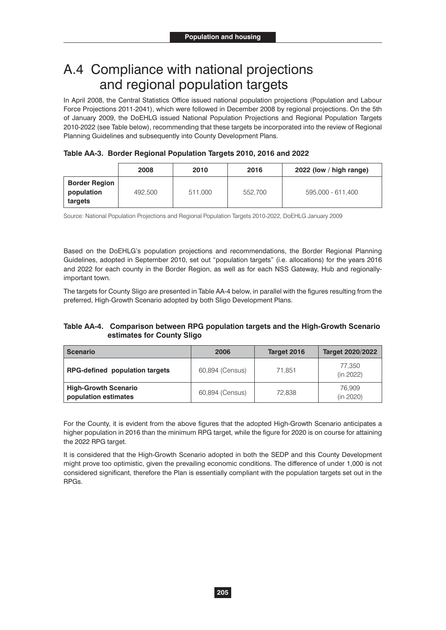### A.4 Compliance with national projections and regional population targets

In April 2008, the Central Statistics Office issued national population projections (Population and Labour Force Projections 2011-2041), which were followed in December 2008 by regional projections. On the 5th of January 2009, the DoEHLG issued National Population Projections and Regional Population Targets 2010-2022 (see Table below), recommending that these targets be incorporated into the review of Regional Planning Guidelines and subsequently into County Development Plans.

| Table AA-3. Border Regional Population Targets 2010, 2016 and 2022 |  |  |
|--------------------------------------------------------------------|--|--|
|                                                                    |  |  |

|                                               | 2008    | 2010    | 2016    | 2022 (low / high range) |
|-----------------------------------------------|---------|---------|---------|-------------------------|
| <b>Border Region</b><br>population<br>targets | 492,500 | 511,000 | 552.700 | 595,000 - 611,400       |

Source: National Population Projections and Regional Population Targets 2010-2022, DoEHLG January 2009

Based on the DoEHLG's population projections and recommendations, the Border Regional Planning Guidelines, adopted in September 2010, set out "population targets" (i.e. allocations) for the years 2016 and 2022 for each county in the Border Region, as well as for each NSS Gateway, Hub and regionallyimportant town.

The targets for County Sligo are presented in Table AA-4 below, in parallel with the figures resulting from the preferred, High-Growth Scenario adopted by both Sligo Development Plans.

### **Table AA-4. Comparison between RPG population targets and the High-Growth Scenario estimates for County Sligo**

| <b>Scenario</b>                                     | 2006            | Target 2016 | <b>Target 2020/2022</b> |  |
|-----------------------------------------------------|-----------------|-------------|-------------------------|--|
| <b>RPG-defined population targets</b>               | 60,894 (Census) | 71.851      | 77.350<br>(in 2022)     |  |
| <b>High-Growth Scenario</b><br>population estimates | 60,894 (Census) | 72.838      | 76.909<br>(in 2020)     |  |

For the County, it is evident from the above figures that the adopted High-Growth Scenario anticipates a higher population in 2016 than the minimum RPG target, while the figure for 2020 is on course for attaining the 2022 RPG target.

It is considered that the High-Growth Scenario adopted in both the SEDP and this County Development might prove too optimistic, given the prevailing economic conditions. The difference of under 1,000 is not considered significant, therefore the Plan is essentially compliant with the population targets set out in the RPGs.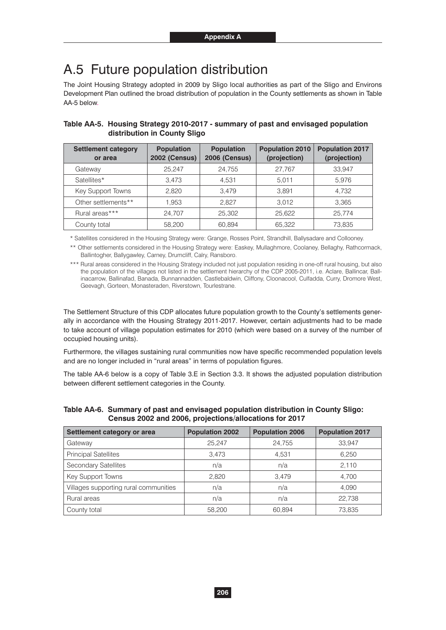### A.5 Future population distribution

The Joint Housing Strategy adopted in 2009 by Sligo local authorities as part of the Sligo and Environs Development Plan outlined the broad distribution of population in the County settlements as shown in Table AA-5 below.

| <b>Settlement category</b><br>or area | <b>Population</b><br><b>2002 (Census)</b> | <b>Population</b><br><b>2006 (Census)</b> | <b>Population 2010</b><br>(projection) | <b>Population 2017</b><br>(projection) |
|---------------------------------------|-------------------------------------------|-------------------------------------------|----------------------------------------|----------------------------------------|
| Gateway                               | 25.247                                    | 24,755                                    | 27.767                                 | 33.947                                 |
| Satellites*                           | 3.473                                     | 4.531                                     | 5.011                                  | 5,976                                  |
| Key Support Towns                     | 2.820                                     | 3.479                                     | 3.891                                  | 4.732                                  |
| Other settlements**                   | 1.953                                     | 2.827                                     | 3.012                                  | 3,365                                  |
| Rural areas***                        | 24.707                                    | 25,302                                    | 25.622                                 | 25.774                                 |
| County total                          | 58,200                                    | 60,894                                    | 65,322                                 | 73,835                                 |

#### **Table AA-5. Housing Strategy 2010-2017 - summary of past and envisaged population distribution in County Sligo**

\* Satellites considered in the Housing Strategy were: Grange, Rosses Point, Strandhill, Ballysadare and Collooney.

\*\* Other settlements considered in the Housing Strategy were: Easkey, Mullaghmore, Coolaney, Bellaghy, Rathcormack, Ballintogher, Ballygawley, Carney, Drumcliff, Calry, Ransboro.

\*\*\* Rural areas considered in the Housing Strategy included not just population residing in one-off rural housing, but also the population of the villages not listed in the settlement hierarchy of the CDP 2005-2011, i.e. Aclare, Ballincar, Ballinacarrow, Ballinafad, Banada, Bunnannadden, Castlebaldwin, Cliffony, Cloonacool, Culfadda, Curry, Dromore West, Geevagh, Gorteen, Monasteraden, Riverstown, Tourlestrane.

The Settlement Structure of this CDP allocates future population growth to the County's settlements generally in accordance with the Housing Strategy 2011-2017. However, certain adjustments had to be made to take account of village population estimates for 2010 (which were based on a survey of the number of occupied housing units).

Furthermore, the villages sustaining rural communities now have specific recommended population levels and are no longer included in "rural areas" in terms of population figures.

The table AA-6 below is a copy of Table 3.E in Section 3.3. It shows the adjusted population distribution between different settlement categories in the County.

| Settlement category or area           | <b>Population 2002</b> | <b>Population 2006</b> | <b>Population 2017</b> |  |
|---------------------------------------|------------------------|------------------------|------------------------|--|
| Gateway                               | 25,247                 | 24,755                 | 33,947                 |  |
| <b>Principal Satellites</b>           | 3,473                  | 4,531                  | 6,250                  |  |
| <b>Secondary Satellites</b>           | n/a                    | n/a                    | 2,110                  |  |
| Key Support Towns                     | 2.820                  | 3.479                  | 4.700                  |  |
| Villages supporting rural communities | n/a                    | n/a                    | 4,090                  |  |
| Rural areas                           | n/a                    | n/a                    | 22,738                 |  |
| County total                          | 58,200                 | 60,894                 | 73,835                 |  |

#### **Table AA-6. Summary of past and envisaged population distribution in County Sligo: Census 2002 and 2006, projections/allocations for 2017**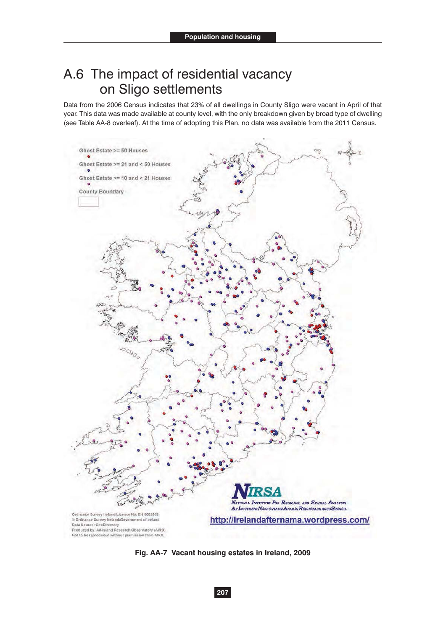## A.6 The impact of residential vacancy on Sligo settlements

Data from the 2006 Census indicates that 23% of all dwellings in County Sligo were vacant in April of that year. This data was made available at county level, with the only breakdown given by broad type of dwelling (see Table AA-8 overleaf). At the time of adopting this Plan, no data was available from the 2011 Census.



**Fig. AA-7 Vacant housing estates in Ireland, 2009**